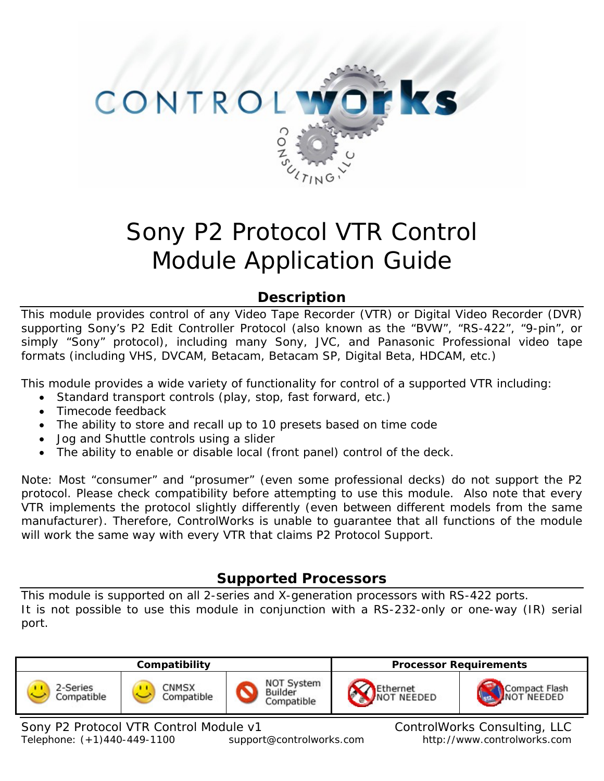

# Sony P2 Protocol VTR Control Module Application Guide

# **Description**

This module provides control of any Video Tape Recorder (VTR) or Digital Video Recorder (DVR) supporting Sony's P2 Edit Controller Protocol (also known as the "BVW", "RS-422", "9-pin", or simply "Sony" protocol), including many Sony, JVC, and Panasonic Professional video tape formats (including VHS, DVCAM, Betacam, Betacam SP, Digital Beta, HDCAM, etc.)

This module provides a wide variety of functionality for control of a supported VTR including:

- Standard transport controls (play, stop, fast forward, etc.)
- Timecode feedback
- The ability to store and recall up to 10 presets based on time code
- Jog and Shuttle controls using a slider
- The ability to enable or disable local (front panel) control of the deck.

Note: Most "consumer" and "prosumer" (even some professional decks) do not support the P2 protocol. Please check compatibility before attempting to use this module. Also note that every VTR implements the protocol slightly differently (even between different models from the same manufacturer). Therefore, ControlWorks is unable to guarantee that all functions of the module will work the same way with every VTR that claims P2 Protocol Support.

# **Supported Processors**

This module is supported on all 2-series and X-generation processors with RS-422 ports. It is not possible to use this module in conjunction with a RS-232-only or one-way (IR) serial port.

| Compatibility          |                     | <b>Processor Requirements</b>       |                         |                              |
|------------------------|---------------------|-------------------------------------|-------------------------|------------------------------|
| 2-Series<br>Compatible | CNMSX<br>Compatible | NOT System<br>Builder<br>Compatible | Ethernet<br>INOT NEEDED | Compact Flash<br>INOT NEEDED |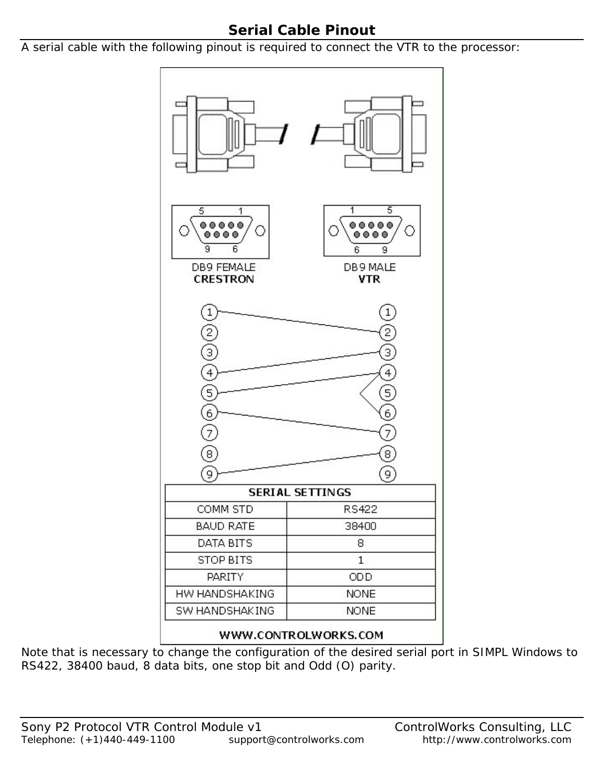# **Serial Cable Pinout**

A serial cable with the following pinout is required to connect the VTR to the processor:



Note that is necessary to change the configuration of the desired serial port in SIMPL Windows to RS422, 38400 baud, 8 data bits, one stop bit and Odd (O) parity.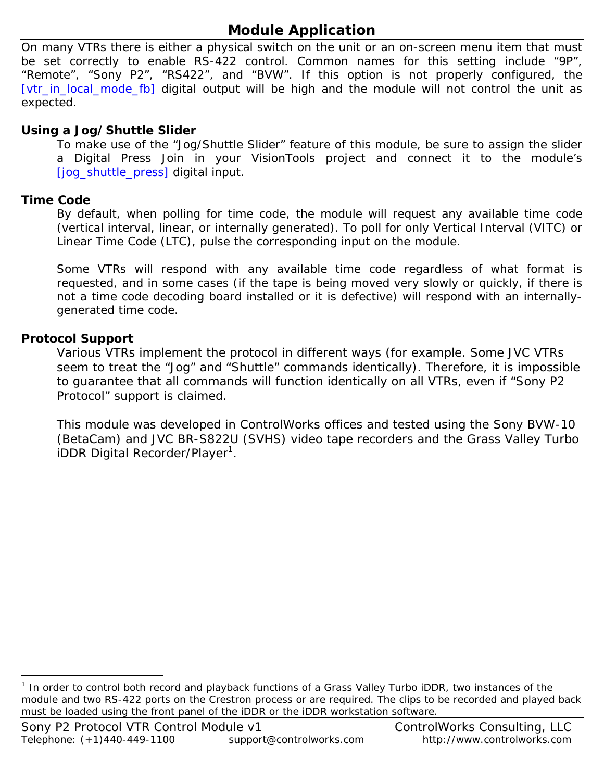# **Module Application**

On many VTRs there is either a physical switch on the unit or an on-screen menu item that must be set correctly to enable RS-422 control. Common names for this setting include "9P", "Remote", "Sony P2", "RS422", and "BVW". If this option is not properly configured, the [vtr\_in\_local\_mode\_fb] digital output will be high and the module will not control the unit as expected.

# **Using a Jog/Shuttle Slider**

To make use of the "Jog/Shuttle Slider" feature of this module, be sure to assign the slider a Digital Press Join in your VisionTools project and connect it to the module's [jog\_shuttle\_press] digital input.

# **Time Code**

By default, when polling for time code, the module will request any available time code (vertical interval, linear, or internally generated). To poll for only Vertical Interval (VITC) or Linear Time Code (LTC), pulse the corresponding input on the module.

Some VTRs will respond with any available time code regardless of what format is requested, and in some cases (if the tape is being moved very slowly or quickly, if there is not a time code decoding board installed or it is defective) will respond with an internallygenerated time code.

# **Protocol Support**

-

Various VTRs implement the protocol in different ways (for example. Some JVC VTRs seem to treat the "Jog" and "Shuttle" commands identically). Therefore, it is impossible to guarantee that all commands will function identically on all VTRs, even if "Sony P2 Protocol" support is claimed.

This module was developed in ControlWorks offices and tested using the Sony BVW-10 (BetaCam) and JVC BR-S822U (SVHS) video tape recorders and the Grass Valley Turbo iDDR Digital Recorder/Player<sup>[1](#page-2-0)</sup>.

<span id="page-2-0"></span><sup>&</sup>lt;sup>1</sup> In order to control both record and playback functions of a Grass Valley Turbo iDDR, two instances of the module and two RS-422 ports on the Crestron process or are required. The clips to be recorded and played back must be loaded using the front panel of the iDDR or the iDDR workstation software.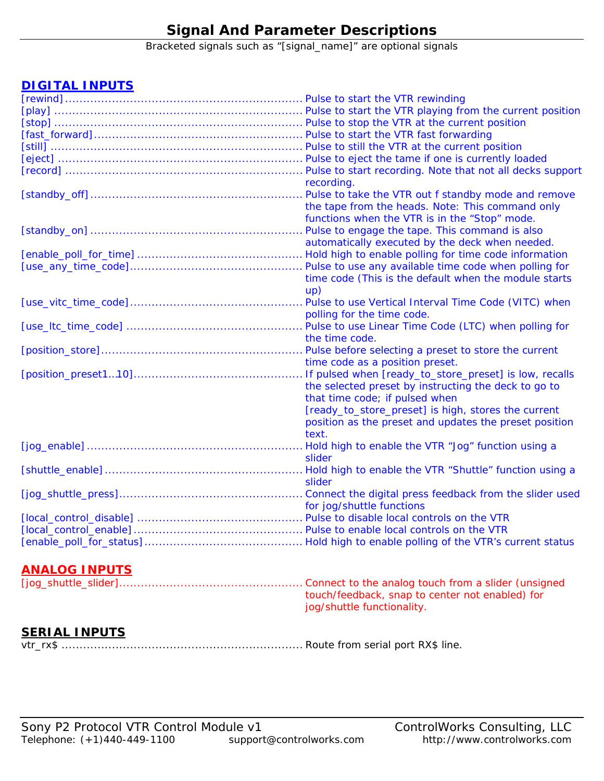# **Signal And Parameter Descriptions**

Bracketed signals such as "[signal\_name]" are optional signals

# **DIGITAL INPUTS**

| recording.                                             |
|--------------------------------------------------------|
|                                                        |
| the tape from the heads. Note: This command only       |
| functions when the VTR is in the "Stop" mode.          |
|                                                        |
| automatically executed by the deck when needed.        |
|                                                        |
|                                                        |
| time code (This is the default when the module starts  |
| up)                                                    |
|                                                        |
| polling for the time code.                             |
|                                                        |
| the time code.                                         |
| Pulse before selecting a preset to store the current   |
| time code as a position preset.                        |
| If pulsed when [ready_to_store_preset] is low, recalls |
| the selected preset by instructing the deck to go to   |
| that time code; if pulsed when                         |
| [ready_to_store_preset] is high, stores the current    |
| position as the preset and updates the preset position |
| text.                                                  |
|                                                        |
| slider                                                 |
|                                                        |
| slider                                                 |
|                                                        |
| for jog/shuttle functions                              |
|                                                        |
|                                                        |
|                                                        |
|                                                        |

# **ANALOG INPUTS**

| touch/feedback, snap to center not enabled) for |
|-------------------------------------------------|
| jog/shuttle functionality.                      |

# **SERIAL INPUTS**

vtr\_rx\$ ................................................................... Route from serial port RX\$ line.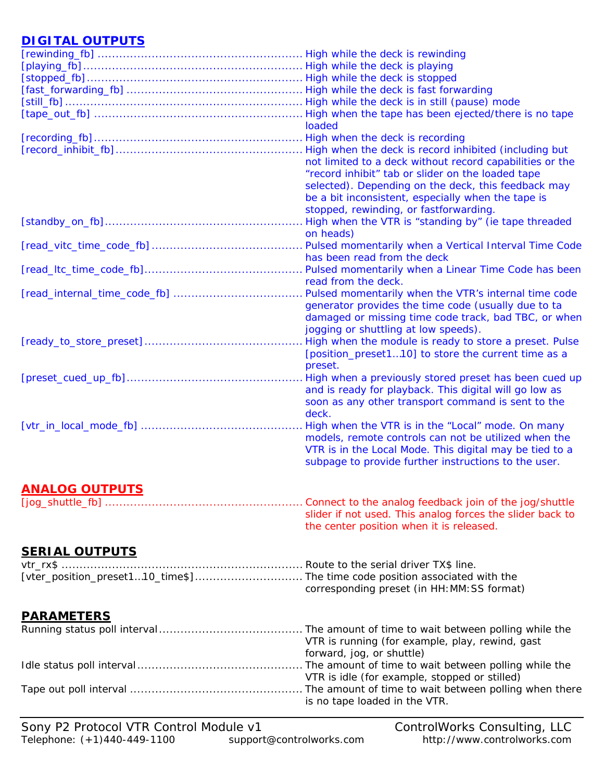# **DIGITAL OUTPUTS**

|                       | loaded                                                    |
|-----------------------|-----------------------------------------------------------|
|                       |                                                           |
|                       |                                                           |
|                       | not limited to a deck without record capabilities or the  |
|                       | "record inhibit" tab or slider on the loaded tape         |
|                       | selected). Depending on the deck, this feedback may       |
|                       | be a bit inconsistent, especially when the tape is        |
|                       | stopped, rewinding, or fastforwarding.                    |
|                       |                                                           |
|                       | on heads)                                                 |
|                       |                                                           |
|                       | has been read from the deck                               |
|                       |                                                           |
|                       | read from the deck.                                       |
|                       | Pulsed momentarily when the VTR's internal time code      |
|                       | generator provides the time code (usually due to ta       |
|                       | damaged or missing time code track, bad TBC, or when      |
|                       | jogging or shuttling at low speeds).                      |
|                       |                                                           |
|                       | [position_preset110] to store the current time as a       |
|                       | preset.                                                   |
|                       | High when a previously stored preset has been cued up     |
|                       | and is ready for playback. This digital will go low as    |
|                       | soon as any other transport command is sent to the        |
|                       | deck.                                                     |
|                       | High when the VTR is in the "Local" mode. On many         |
|                       | models, remote controls can not be utilized when the      |
|                       | VTR is in the Local Mode. This digital may be tied to a   |
|                       | subpage to provide further instructions to the user.      |
|                       |                                                           |
|                       |                                                           |
| <b>ANALOG OUTPUTS</b> |                                                           |
|                       | Connect to the analog feedback join of the jog/shuttle    |
|                       | slider if not used. This analog forces the slider back to |
|                       | the center position when it is released.                  |

# **SERIAL OUTPUTS**

| corresponding preset (in HH: MM: SS format) |
|---------------------------------------------|

# **PARAMETERS**

| VTR is running (for example, play, rewind, gast |
|-------------------------------------------------|
| forward, jog, or shuttle)                       |
|                                                 |
| VTR is idle (for example, stopped or stilled)   |
|                                                 |
| is no tape loaded in the VTR.                   |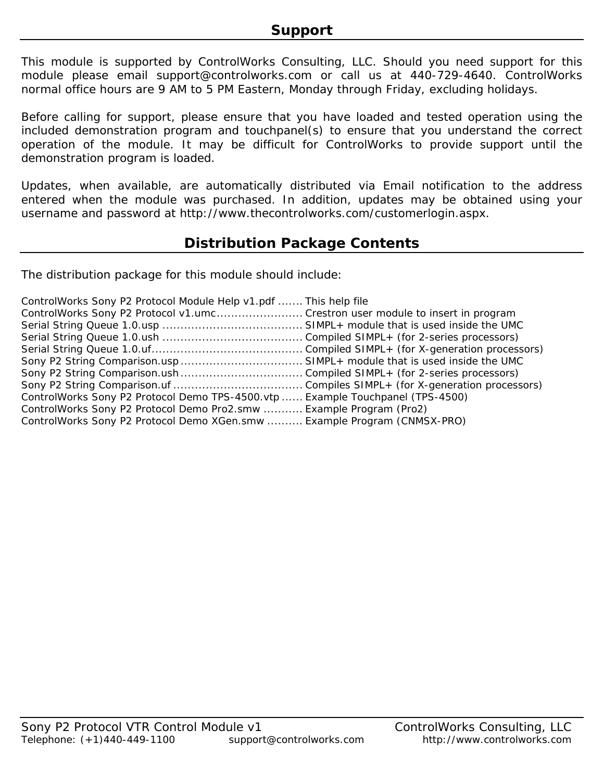This module is supported by ControlWorks Consulting, LLC. Should you need support for this module please email support@controlworks.com or call us at 440-729-4640. ControlWorks normal office hours are 9 AM to 5 PM Eastern, Monday through Friday, excluding holidays.

Before calling for support, please ensure that you have loaded and tested operation using the included demonstration program and touchpanel(s) to ensure that you understand the correct operation of the module. It may be difficult for ControlWorks to provide support until the demonstration program is loaded.

Updates, when available, are automatically distributed via Email notification to the address entered when the module was purchased. In addition, updates may be obtained using your username and password at http://www.thecontrolworks.com/customerlogin.aspx.

# **Distribution Package Contents**

The distribution package for this module should include:

| ControlWorks Sony P2 Protocol Module Help v1.pdf  This help file               |  |
|--------------------------------------------------------------------------------|--|
| ControlWorks Sony P2 Protocol v1.umc Crestron user module to insert in program |  |
|                                                                                |  |
|                                                                                |  |
|                                                                                |  |
|                                                                                |  |
|                                                                                |  |
|                                                                                |  |
| ControlWorks Sony P2 Protocol Demo TPS-4500.vtp  Example Touchpanel (TPS-4500) |  |
| ControlWorks Sony P2 Protocol Demo Pro2.smw  Example Program (Pro2)            |  |
| ControlWorks Sony P2 Protocol Demo XGen.smw  Example Program (CNMSX-PRO)       |  |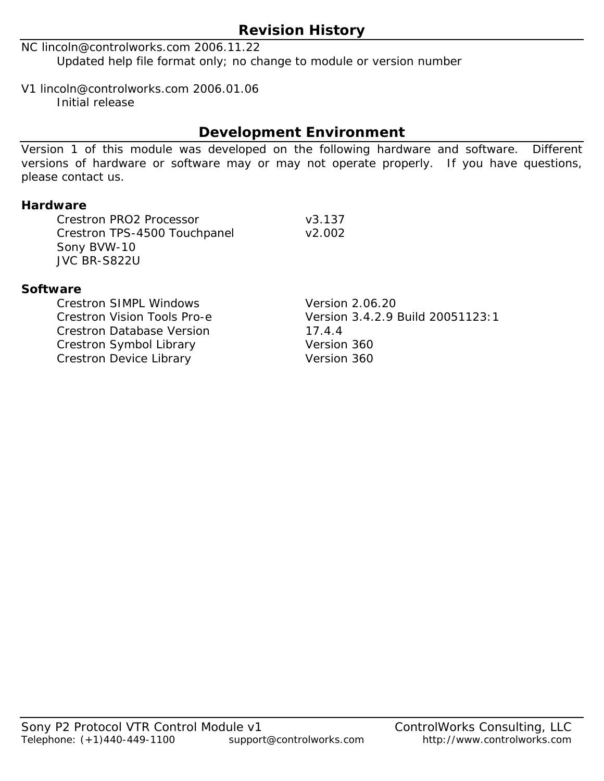# **Revision History**

NC lincoln@controlworks.com 2006.11.22 Updated help file format only; no change to module or version number

V1 lincoln@controlworks.com 2006.01.06 Initial release

# **Development Environment**

Version 1 of this module was developed on the following hardware and software. Different versions of hardware or software may or may not operate properly. If you have questions, please contact us.

#### **Hardware**

Crestron PRO2 Processor v3.137 Crestron TPS-4500 Touchpanel v2.002 Sony BVW-10 JVC BR-S822U

#### **Software**

Crestron SIMPL Windows Version 2.06.20 Crestron Database Version 17.4.4 Crestron Symbol Library Version 360 Crestron Device Library Version 360

Crestron Vision Tools Pro-e Version 3.4.2.9 Build 20051123:1